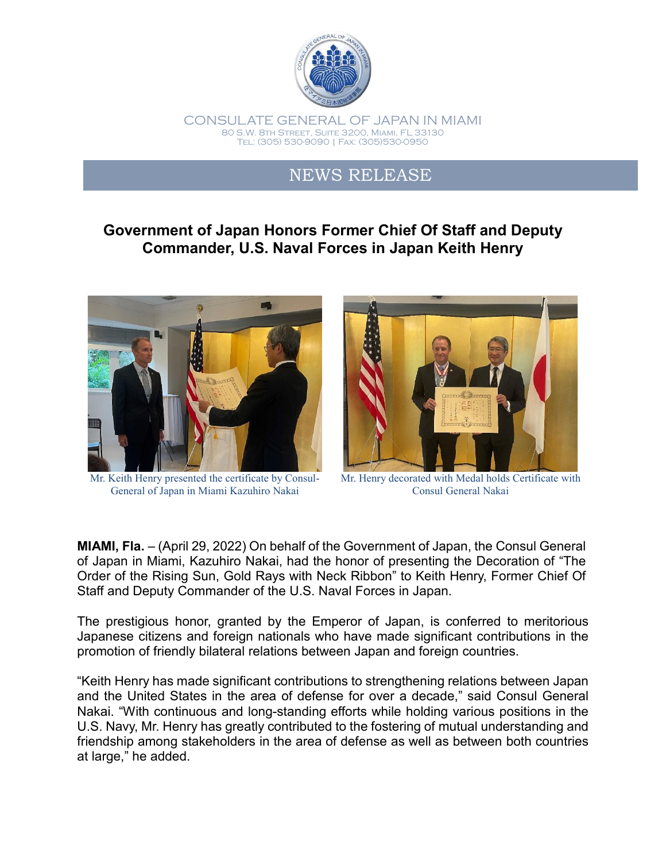

## NEWS RELEASE

## **Government of Japan Honors Former Chief Of Staff and Deputy Commander, U.S. Naval Forces in Japan Keith Henry**



Mr. Keith Henry presented the certificate by Consul-General of Japan in Miami Kazuhiro Nakai



Mr. Henry decorated with Medal holds Certificate with Consul General Nakai

**MIAMI, Fla.** – (April 29, 2022) On behalf of the Government of Japan, the Consul General of Japan in Miami, Kazuhiro Nakai, had the honor of presenting the Decoration of "The Order of the Rising Sun, Gold Rays with Neck Ribbon" to Keith Henry, Former Chief Of Staff and Deputy Commander of the U.S. Naval Forces in Japan.

The prestigious honor, granted by the Emperor of Japan, is conferred to meritorious Japanese citizens and foreign nationals who have made significant contributions in the promotion of friendly bilateral relations between Japan and foreign countries.

"Keith Henry has made significant contributions to strengthening relations between Japan and the United States in the area of defense for over a decade," said Consul General Nakai. "With continuous and long-standing efforts while holding various positions in the U.S. Navy, Mr. Henry has greatly contributed to the fostering of mutual understanding and friendship among stakeholders in the area of defense as well as between both countries at large," he added.